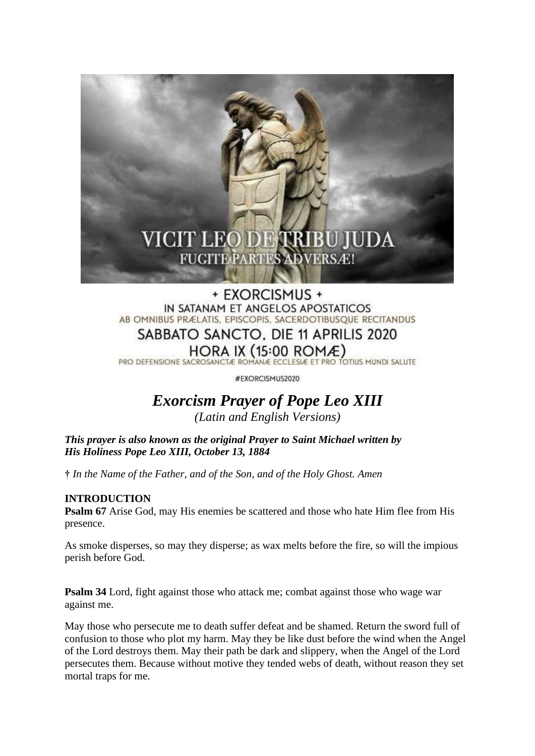

# + EXORCISMUS + IN SATANAM ET ANGELOS APOSTATICOS AB OMNIBUS PRÆLATIS, EPISCOPIS, SACERDOTIBUSQUE RECITANDUS SABBATO SANCTO, DIE 11 APRILIS 2020 HORA IX  $(15:00$  ROMÆ)

PRO DEFENSIONE SACROSANCTÆ ROMANÆ ECCLESIÆ ET PRO TOTIUS MUNDI SALUTE

#EXORCISMUS2020

# *Exorcism Prayer of Pope Leo XIII (Latin and English Versions)*

*This prayer is also known as the original Prayer to Saint Michael written by His Holiness Pope Leo XIII, October 13, 1884*

**†** *In the Name of the Father, and of the Son, and of the Holy Ghost. Amen*

## **INTRODUCTION**

**Psalm 67** Arise God, may His enemies be scattered and those who hate Him flee from His presence.

As smoke disperses, so may they disperse; as wax melts before the fire, so will the impious perish before God.

**Psalm 34** Lord, fight against those who attack me; combat against those who wage war against me.

May those who persecute me to death suffer defeat and be shamed. Return the sword full of confusion to those who plot my harm. May they be like dust before the wind when the Angel of the Lord destroys them. May their path be dark and slippery, when the Angel of the Lord persecutes them. Because without motive they tended webs of death, without reason they set mortal traps for me.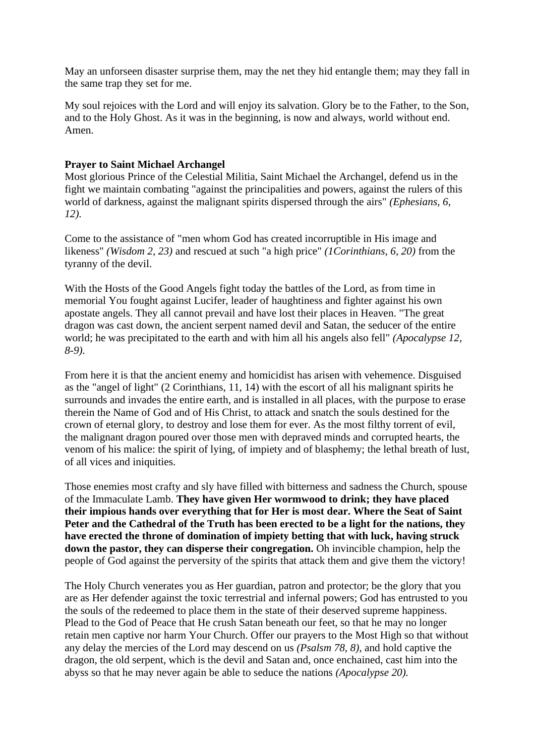May an unforseen disaster surprise them, may the net they hid entangle them; may they fall in the same trap they set for me.

My soul rejoices with the Lord and will enjoy its salvation. Glory be to the Father, to the Son, and to the Holy Ghost. As it was in the beginning, is now and always, world without end. Amen.

#### **Prayer to Saint Michael Archangel**

Most glorious Prince of the Celestial Militia, Saint Michael the Archangel, defend us in the fight we maintain combating "against the principalities and powers, against the rulers of this world of darkness, against the malignant spirits dispersed through the airs" *(Ephesians, 6, 12).*

Come to the assistance of "men whom God has created incorruptible in His image and likeness" *(Wisdom 2, 23)* and rescued at such "a high price" *(1Corinthians, 6, 20)* from the tyranny of the devil.

With the Hosts of the Good Angels fight today the battles of the Lord, as from time in memorial You fought against Lucifer, leader of haughtiness and fighter against his own apostate angels. They all cannot prevail and have lost their places in Heaven. "The great dragon was cast down, the ancient serpent named devil and Satan, the seducer of the entire world; he was precipitated to the earth and with him all his angels also fell" *(Apocalypse 12, 8-9).*

From here it is that the ancient enemy and homicidist has arisen with vehemence. Disguised as the "angel of light" (2 Corinthians, 11, 14) with the escort of all his malignant spirits he surrounds and invades the entire earth, and is installed in all places, with the purpose to erase therein the Name of God and of His Christ, to attack and snatch the souls destined for the crown of eternal glory, to destroy and lose them for ever. As the most filthy torrent of evil, the malignant dragon poured over those men with depraved minds and corrupted hearts, the venom of his malice: the spirit of lying, of impiety and of blasphemy; the lethal breath of lust, of all vices and iniquities.

Those enemies most crafty and sly have filled with bitterness and sadness the Church, spouse of the Immaculate Lamb. **They have given Her wormwood to drink; they have placed their impious hands over everything that for Her is most dear. Where the Seat of Saint Peter and the Cathedral of the Truth has been erected to be a light for the nations, they have erected the throne of domination of impiety betting that with luck, having struck down the pastor, they can disperse their congregation.** Oh invincible champion, help the people of God against the perversity of the spirits that attack them and give them the victory!

The Holy Church venerates you as Her guardian, patron and protector; be the glory that you are as Her defender against the toxic terrestrial and infernal powers; God has entrusted to you the souls of the redeemed to place them in the state of their deserved supreme happiness. Plead to the God of Peace that He crush Satan beneath our feet, so that he may no longer retain men captive nor harm Your Church. Offer our prayers to the Most High so that without any delay the mercies of the Lord may descend on us *(Psalsm 78, 8),* and hold captive the dragon, the old serpent, which is the devil and Satan and, once enchained, cast him into the abyss so that he may never again be able to seduce the nations *(Apocalypse 20).*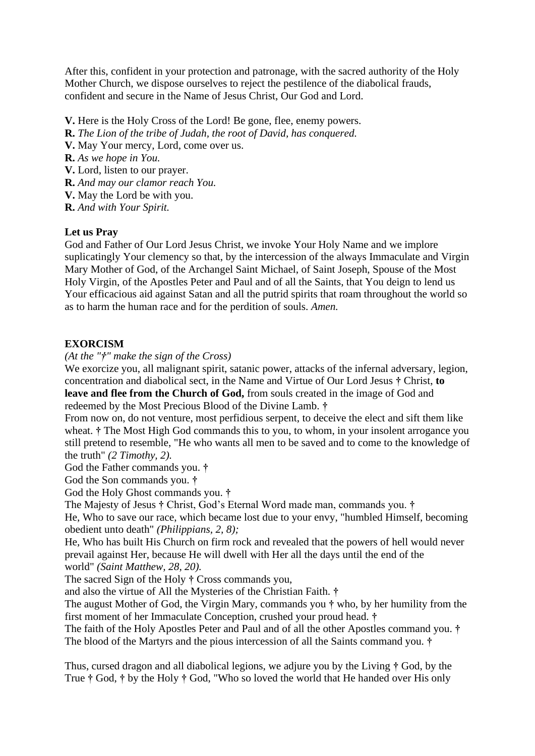After this, confident in your protection and patronage, with the sacred authority of the Holy Mother Church, we dispose ourselves to reject the pestilence of the diabolical frauds, confident and secure in the Name of Jesus Christ, Our God and Lord.

- **V.** Here is the Holy Cross of the Lord! Be gone, flee, enemy powers.
- **R.** *The Lion of the tribe of Judah, the root of David, has conquered.*
- **V.** May Your mercy, Lord, come over us.
- **R.** *As we hope in You.*
- **V.** Lord, listen to our prayer.
- **R.** *And may our clamor reach You.*
- **V.** May the Lord be with you.
- **R.** *And with Your Spirit.*

### **Let us Pray**

God and Father of Our Lord Jesus Christ, we invoke Your Holy Name and we implore suplicatingly Your clemency so that, by the intercession of the always Immaculate and Virgin Mary Mother of God, of the Archangel Saint Michael, of Saint Joseph, Spouse of the Most Holy Virgin, of the Apostles Peter and Paul and of all the Saints, that You deign to lend us Your efficacious aid against Satan and all the putrid spirits that roam throughout the world so as to harm the human race and for the perdition of souls. *Amen.*

## **EXORCISM**

*(At the "†" make the sign of the Cross)*

We exorcize you, all malignant spirit, satanic power, attacks of the infernal adversary, legion, concentration and diabolical sect, in the Name and Virtue of Our Lord Jesus **†** Christ, **to leave and flee from the Church of God,** from souls created in the image of God and redeemed by the Most Precious Blood of the Divine Lamb. **†**

From now on, do not venture, most perfidious serpent, to deceive the elect and sift them like wheat. **†** The Most High God commands this to you, to whom, in your insolent arrogance you still pretend to resemble, "He who wants all men to be saved and to come to the knowledge of the truth" *(2 Timothy, 2).*

God the Father commands you. **†**

God the Son commands you. **†**

God the Holy Ghost commands you. **†**

The Majesty of Jesus **†** Christ, God's Eternal Word made man, commands you. **†**

He, Who to save our race, which became lost due to your envy, "humbled Himself, becoming obedient unto death" *(Philippians, 2, 8);*

He, Who has built His Church on firm rock and revealed that the powers of hell would never prevail against Her, because He will dwell with Her all the days until the end of the world" *(Saint Matthew, 28, 20).*

The sacred Sign of the Holy **†** Cross commands you,

and also the virtue of All the Mysteries of the Christian Faith. **†**

The august Mother of God, the Virgin Mary, commands you **†** who, by her humility from the first moment of her Immaculate Conception, crushed your proud head. **†**

The faith of the Holy Apostles Peter and Paul and of all the other Apostles command you. **†** The blood of the Martyrs and the pious intercession of all the Saints command you. **†**

Thus, cursed dragon and all diabolical legions, we adjure you by the Living **†** God, by the True **†** God, **†** by the Holy **†** God, "Who so loved the world that He handed over His only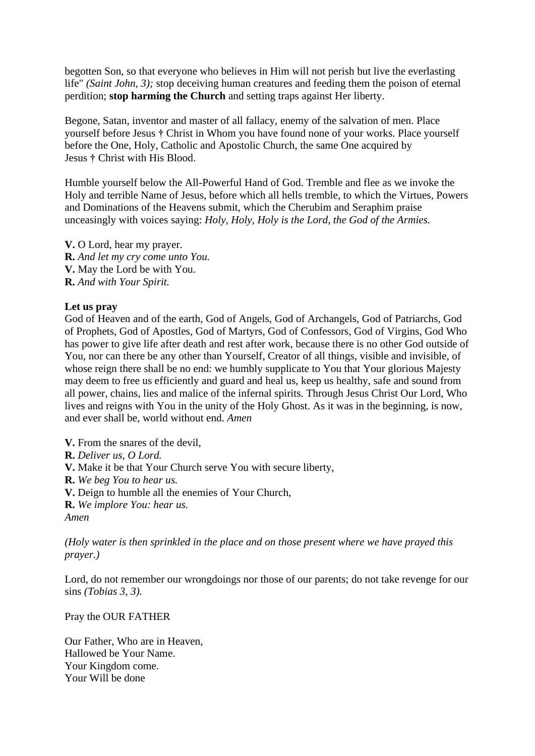begotten Son, so that everyone who believes in Him will not perish but live the everlasting life" *(Saint John, 3)*; stop deceiving human creatures and feeding them the poison of eternal perdition; **stop harming the Church** and setting traps against Her liberty.

Begone, Satan, inventor and master of all fallacy, enemy of the salvation of men. Place yourself before Jesus **†** Christ in Whom you have found none of your works. Place yourself before the One, Holy, Catholic and Apostolic Church, the same One acquired by Jesus **†** Christ with His Blood.

Humble yourself below the All-Powerful Hand of God. Tremble and flee as we invoke the Holy and terrible Name of Jesus, before which all hells tremble, to which the Virtues, Powers and Dominations of the Heavens submit, which the Cherubim and Seraphim praise unceasingly with voices saying: *Holy, Holy, Holy is the Lord, the God of the Armies.*

**V.** O Lord, hear my prayer. **R.** *And let my cry come unto You.* **V.** May the Lord be with You. **R.** *And with Your Spirit.*

### **Let us pray**

God of Heaven and of the earth, God of Angels, God of Archangels, God of Patriarchs, God of Prophets, God of Apostles, God of Martyrs, God of Confessors, God of Virgins, God Who has power to give life after death and rest after work, because there is no other God outside of You, nor can there be any other than Yourself, Creator of all things, visible and invisible, of whose reign there shall be no end: we humbly supplicate to You that Your glorious Majesty may deem to free us efficiently and guard and heal us, keep us healthy, safe and sound from all power, chains, lies and malice of the infernal spirits. Through Jesus Christ Our Lord, Who lives and reigns with You in the unity of the Holy Ghost. As it was in the beginning, is now, and ever shall be, world without end. *Amen*

**V.** From the snares of the devil,

**R.** *Deliver us, O Lord.*

**V.** Make it be that Your Church serve You with secure liberty,

**R.** *We beg You to hear us.*

**V.** Deign to humble all the enemies of Your Church,

**R.** *We implore You: hear us.*

*Amen*

*(Holy water is then sprinkled in the place and on those present where we have prayed this prayer.)*

Lord, do not remember our wrongdoings nor those of our parents; do not take revenge for our sins *(Tobias 3, 3).*

Pray the OUR FATHER

Our Father, Who are in Heaven, Hallowed be Your Name. Your Kingdom come. Your Will be done